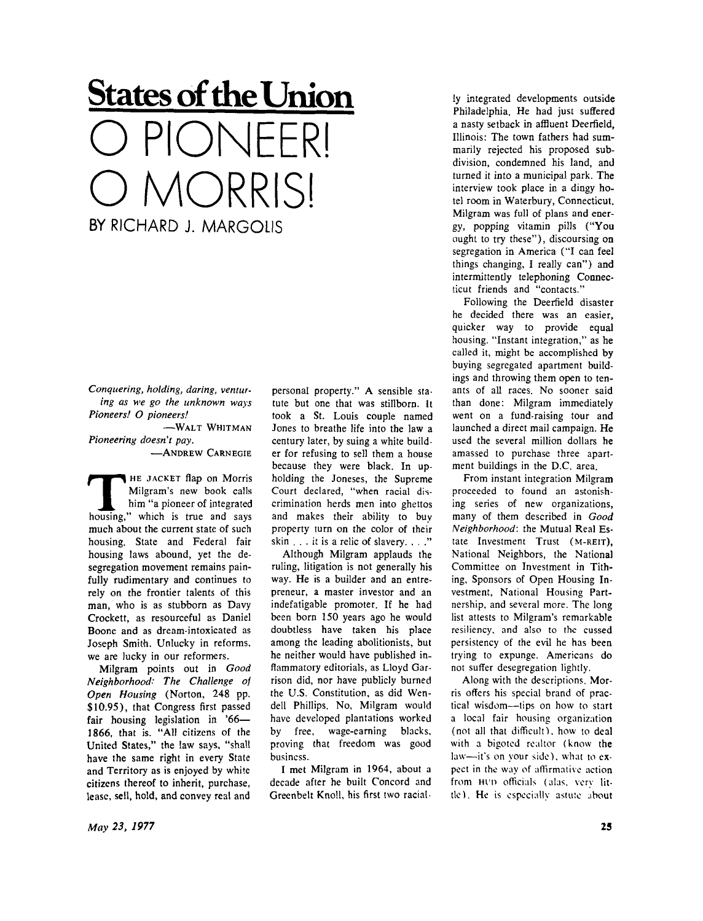## **States of the Union**  PIONFFRI MORRISI **BY RICHARD J. MARGOLIS**

*Conquering, holding, daring, venturing as we go the unknown ways Pioneers! O pioneers!* 

 $-WALT$  WHITMAN *Pioneering doesn't pay.* 

-ANDREW CARNEGIE

**THE JACKET flap on Morris**<br>
Milgram's new book calls<br>
him "a pioneer of integrated<br>
housing," which is true and says HE JACKET flap on Morris Milgram's new book calls him "a pioneer of integrated much about the current state of such housing. State and Federal fair housing laws abound, yet the desegregation movement remains painfully rudimentary and continues to rely on the frontier talents of this man, who is as stubborn as Davy Crockett, as resourceful as Daniel Boone and as dream-intoxicated as Joseph Smith. Unlucky in reforms, we are lucky in our reformers.

Milgram points out in *Good Neighborhood: The Challenge of Open Housing* (Norton, 248 pp. \$10.95), that Congress first passed fair housing legislation in '66— 1866, that is. "All citizens of the United States," the law says, "shall have the same right in every State and Territory as is enjoyed by white citizens thereof to inherit, purchase, lease, sell, hold, and convey real and

personal property." A sensible statute but one that was stillborn. It took a St. Louis couple named Jones to breathe life into the law a century later, by suing a white builder for refusing to sell them a house because they were black. In upholding the Joneses, the Supreme Court declared, "when racial discrimination herds men into ghettos and makes their ability to buv property turn on the color of their skin . . . it is a relic of slavery. . . ."

Although Milgram applauds the ruling, litigation is not generally his way. He is a builder and an entrepreneur, a master investor and an indefatigable promoter. If he had been born 150 years ago he would doubtless have taken his place among the leading abolitionists, but he neither would have published inflammatory editorials, as Lloyd Garrison did, nor have publicly burned the U.S. Constitution, as did Wendell Phillips. No, Milgram would have developed plantations worked by free, wage-earning blacks, proving that freedom was good business.

I met Milgram in 1964, about a decade after he built Concord and Greenbelt Knoll, his first two racial-

ly integrated developments outside Philadelphia. He had just suffered a nasty setback in affluent Deerfield, Illinois: The town fathers had summarily rejected his proposed subdivision, condemned his land, and turned it into a municipal park. The interview took place in a dingy hotel room in Waterbury, Connecticut. Milgram was full of plans and energy, popping vitamin pills ("You ought to try these"), discoursing on segregation in America ("I can feel things changing, I really can") and intermittendy telephoning Connecticut friends and "contacts."

Following the Deerfield disaster he decided there was an easier, quicker way to provide equal housing. "Instant integration," as he called it, might be accomplished by buying segregated apartment buildings and throwing them open to tenants of all races. No sooner said than done: Milgram immediately went on a fund-raising tour and launched a direct mail campaign. He used the several million dollars he amassed to purchase three apartment buildings in the D.C. area.

From instant integration Milgram proceeded to found an astonishing series of new organizations, many of them described in *Good Neighborhood:* the Mutual Real Estate Investment Trust (M-REIT), National Neighbors, the National Committee on Investment in Tithing, Sponsors of Open Housing Investment, National Housing Partnership, and several more. The long list attests to Milgram's remarkable resiliency, and also to the cussed persistency of the evil he has been trying to expunge. Americans do not suffer desegregation lightly.

Along with the descriptions. Morris offers his special brand of practical wisdom—tips on how to start a local fair housing organization (not all that difficult). how to deal with a bigoted realtor (know the law—it's on your side), what to expect in the way of affirmative action from HUD officials (alas, very little 1. He is especially astute about